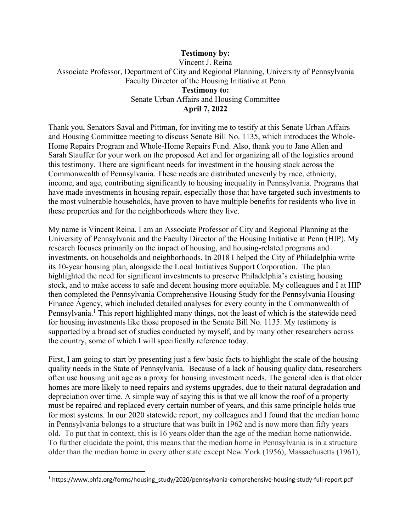## **Testimony by:** Vincent J. Reina Associate Professor, Department of City and Regional Planning, University of Pennsylvania Faculty Director of the Housing Initiative at Penn **Testimony to:**  Senate Urban Affairs and Housing Committee **April 7, 2022**

Thank you, Senators Saval and Pittman, for inviting me to testify at this Senate Urban Affairs and Housing Committee meeting to discuss Senate Bill No. 1135, which introduces the Whole-Home Repairs Program and Whole-Home Repairs Fund. Also, thank you to Jane Allen and Sarah Stauffer for your work on the proposed Act and for organizing all of the logistics around this testimony. There are significant needs for investment in the housing stock across the Commonwealth of Pennsylvania. These needs are distributed unevenly by race, ethnicity, income, and age, contributing significantly to housing inequality in Pennsylvania. Programs that have made investments in housing repair, especially those that have targeted such investments to the most vulnerable households, have proven to have multiple benefits for residents who live in these properties and for the neighborhoods where they live.

My name is Vincent Reina. I am an Associate Professor of City and Regional Planning at the University of Pennsylvania and the Faculty Director of the Housing Initiative at Penn (HIP). My research focuses primarily on the impact of housing, and housing-related programs and investments, on households and neighborhoods. In 2018 I helped the City of Philadelphia write its 10-year housing plan, alongside the Local Initiatives Support Corporation. The plan highlighted the need for significant investments to preserve Philadelphia's existing housing stock, and to make access to safe and decent housing more equitable. My colleagues and I at HIP then completed the Pennsylvania Comprehensive Housing Study for the Pennsylvania Housing Finance Agency, which included detailed analyses for every county in the Commonwealth of Pennsylvania.<sup>1</sup> This report highlighted many things, not the least of which is the statewide need for housing investments like those proposed in the Senate Bill No. 1135. My testimony is supported by a broad set of studies conducted by myself, and by many other researchers across the country, some of which I will specifically reference today.

First, I am going to start by presenting just a few basic facts to highlight the scale of the housing quality needs in the State of Pennsylvania. Because of a lack of housing quality data, researchers often use housing unit age as a proxy for housing investment needs. The general idea is that older homes are more likely to need repairs and systems upgrades, due to their natural degradation and depreciation over time. A simple way of saying this is that we all know the roof of a property must be repaired and replaced every certain number of years, and this same principle holds true for most systems. In our 2020 statewide report, my colleagues and I found that the median home in Pennsylvania belongs to a structure that was built in 1962 and is now more than fifty years old. To put that in context, this is 16 years older than the age of the median home nationwide. To further elucidate the point, this means that the median home in Pennsylvania is in a structure older than the median home in every other state except New York (1956), Massachusetts (1961),

<sup>1</sup> https://www.phfa.org/forms/housing\_study/2020/pennsylvania-comprehensive-housing-study-full-report.pdf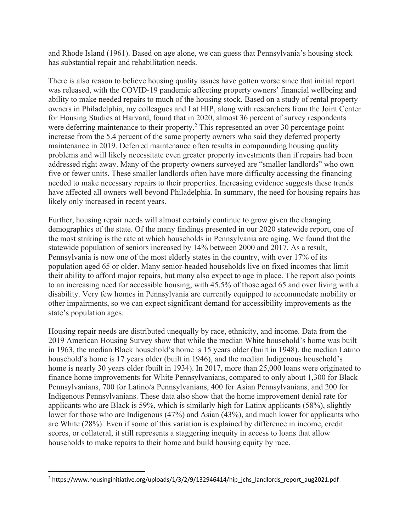and Rhode Island (1961). Based on age alone, we can guess that Pennsylvania's housing stock has substantial repair and rehabilitation needs.

There is also reason to believe housing quality issues have gotten worse since that initial report was released, with the COVID-19 pandemic affecting property owners' financial wellbeing and ability to make needed repairs to much of the housing stock. Based on a study of rental property owners in Philadelphia, my colleagues and I at HIP, along with researchers from the Joint Center for Housing Studies at Harvard, found that in 2020, almost 36 percent of survey respondents were deferring maintenance to their property.<sup>2</sup> This represented an over 30 percentage point increase from the 5.4 percent of the same property owners who said they deferred property maintenance in 2019. Deferred maintenance often results in compounding housing quality problems and will likely necessitate even greater property investments than if repairs had been addressed right away. Many of the property owners surveyed are "smaller landlords" who own five or fewer units. These smaller landlords often have more difficulty accessing the financing needed to make necessary repairs to their properties. Increasing evidence suggests these trends have affected all owners well beyond Philadelphia. In summary, the need for housing repairs has likely only increased in recent years.

Further, housing repair needs will almost certainly continue to grow given the changing demographics of the state. Of the many findings presented in our 2020 statewide report, one of the most striking is the rate at which households in Pennsylvania are aging. We found that the statewide population of seniors increased by 14% between 2000 and 2017. As a result, Pennsylvania is now one of the most elderly states in the country, with over 17% of its population aged 65 or older. Many senior-headed households live on fixed incomes that limit their ability to afford major repairs, but many also expect to age in place. The report also points to an increasing need for accessible housing, with 45.5% of those aged 65 and over living with a disability. Very few homes in Pennsylvania are currently equipped to accommodate mobility or other impairments, so we can expect significant demand for accessibility improvements as the state's population ages.

Housing repair needs are distributed unequally by race, ethnicity, and income. Data from the 2019 American Housing Survey show that while the median White household's home was built in 1963, the median Black household's home is 15 years older (built in 1948), the median Latino household's home is 17 years older (built in 1946), and the median Indigenous household's home is nearly 30 years older (built in 1934). In 2017, more than 25,000 loans were originated to finance home improvements for White Pennsylvanians, compared to only about 1,300 for Black Pennsylvanians, 700 for Latino/a Pennsylvanians, 400 for Asian Pennsylvanians, and 200 for Indigenous Pennsylvanians. These data also show that the home improvement denial rate for applicants who are Black is 59%, which is similarly high for Latinx applicants (58%), slightly lower for those who are Indigenous (47%) and Asian (43%), and much lower for applicants who are White (28%). Even if some of this variation is explained by difference in income, credit scores, or collateral, it still represents a staggering inequity in access to loans that allow households to make repairs to their home and build housing equity by race.

 $2$  https://www.housinginitiative.org/uploads/1/3/2/9/132946414/hip\_jchs\_landlords\_report\_aug2021.pdf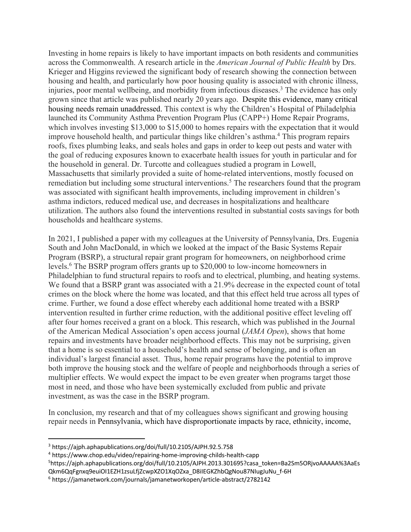Investing in home repairs is likely to have important impacts on both residents and communities across the Commonwealth. A research article in the *American Journal of Public Health* by Drs. Krieger and Higgins reviewed the significant body of research showing the connection between housing and health, and particularly how poor housing quality is associated with chronic illness, injuries, poor mental wellbeing, and morbidity from infectious diseases. <sup>3</sup> The evidence has only grown since that article was published nearly 20 years ago. Despite this evidence, many critical housing needs remain unaddressed. This context is why the Children's Hospital of Philadelphia launched its Community Asthma Prevention Program Plus (CAPP+) Home Repair Programs, which involves investing \$13,000 to \$15,000 to homes repairs with the expectation that it would improve household health, and particular things like children's asthma. <sup>4</sup> This program repairs roofs, fixes plumbing leaks, and seals holes and gaps in order to keep out pests and water with the goal of reducing exposures known to exacerbate health issues for youth in particular and for the household in general. Dr. Turcotte and colleagues studied a program in Lowell, Massachusetts that similarly provided a suite of home-related interventions, mostly focused on remediation but including some structural interventions.<sup>5</sup> The researchers found that the program was associated with significant health improvements, including improvement in children's asthma indictors, reduced medical use, and decreases in hospitalizations and healthcare utilization. The authors also found the interventions resulted in substantial costs savings for both households and healthcare systems.

In 2021, I published a paper with my colleagues at the University of Pennsylvania, Drs. Eugenia South and John MacDonald, in which we looked at the impact of the Basic Systems Repair Program (BSRP), a structural repair grant program for homeowners, on neighborhood crime levels.6 The BSRP program offers grants up to \$20,000 to low-income homeowners in Philadelphian to fund structural repairs to roofs and to electrical, plumbing, and heating systems. We found that a BSRP grant was associated with a 21.9% decrease in the expected count of total crimes on the block where the home was located, and that this effect held true across all types of crime. Further, we found a dose effect whereby each additional home treated with a BSRP intervention resulted in further crime reduction, with the additional positive effect leveling off after four homes received a grant on a block. This research, which was published in the Journal of the American Medical Association's open access journal (*JAMA Open*), shows that home repairs and investments have broader neighborhood effects. This may not be surprising, given that a home is so essential to a household's health and sense of belonging, and is often an individual's largest financial asset. Thus, home repair programs have the potential to improve both improve the housing stock and the welfare of people and neighborhoods through a series of multiplier effects. We would expect the impact to be even greater when programs target those most in need, and those who have been systemically excluded from public and private investment, as was the case in the BSRP program.

In conclusion, my research and that of my colleagues shows significant and growing housing repair needs in Pennsylvania, which have disproportionate impacts by race, ethnicity, income,

<sup>3</sup> https://ajph.aphapublications.org/doi/full/10.2105/AJPH.92.5.758

<sup>4</sup> https://www.chop.edu/video/repairing-home-improving-childs-health-capp

<sup>5</sup> https://ajph.aphapublications.org/doi/full/10.2105/AJPH.2013.301695?casa\_token=Ba2Sm5ORjvoAAAAA%3AaEs Qkm6QqFgnxq9euiOI1EZH1zsuLfjZcwpXZO1XqOZxa\_D8iIEGKZhbQgNou87NIugJuNu\_f-6H

<sup>6</sup> https://jamanetwork.com/journals/jamanetworkopen/article-abstract/2782142